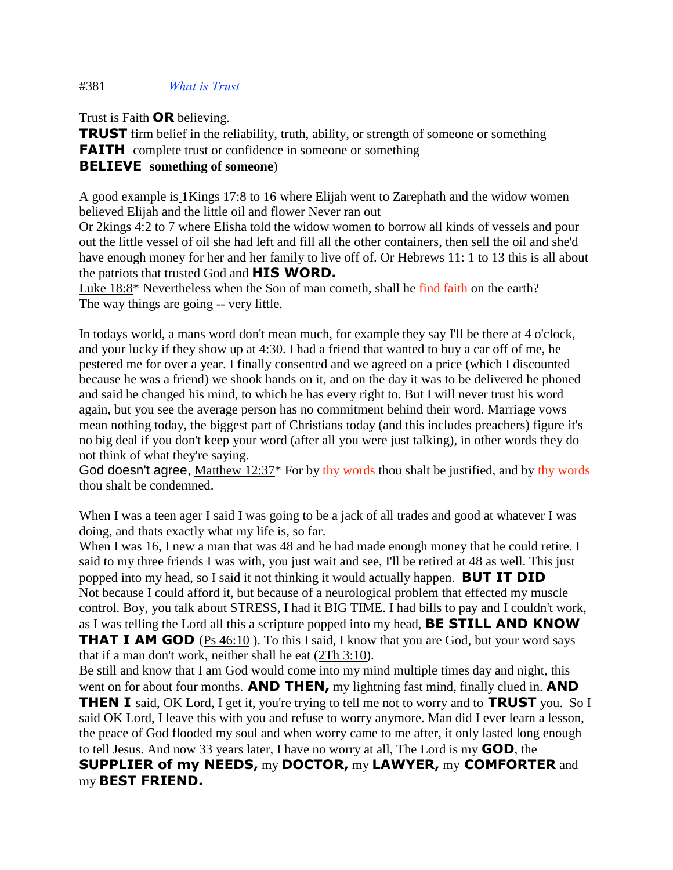## #381 *What is Trust*

Trust is Faith **OR** believing.

**TRUST** firm belief in the reliability, truth, ability, or strength of someone or something **FAITH** complete trust or confidence in someone or something **BELIEVE something of someone**)

A good example is 1Kings 17:8 to 16 where Elijah went to Zarephath and the widow women believed Elijah and the little oil and flower Never ran out

Or 2kings 4:2 to 7 where Elisha told the widow women to borrow all kinds of vessels and pour out the little vessel of oil she had left and fill all the other containers, then sell the oil and she'd have enough money for her and her family to live off of. Or Hebrews 11: 1 to 13 this is all about the patriots that trusted God and **HIS WORD.**

Luke 18:8\* Nevertheless when the Son of man cometh, shall he find faith on the earth? The way things are going -- very little.

In todays world, a mans word don't mean much, for example they say I'll be there at 4 o'clock, and your lucky if they show up at 4:30. I had a friend that wanted to buy a car off of me, he pestered me for over a year. I finally consented and we agreed on a price (which I discounted because he was a friend) we shook hands on it, and on the day it was to be delivered he phoned and said he changed his mind, to which he has every right to. But I will never trust his word again, but you see the average person has no commitment behind their word. Marriage vows mean nothing today, the biggest part of Christians today (and this includes preachers) figure it's no big deal if you don't keep your word (after all you were just talking), in other words they do not think of what they're saying.

God doesn't agree, Matthew 12:37\* For by thy words thou shalt be justified, and by thy words thou shalt be condemned.

When I was a teen ager I said I was going to be a jack of all trades and good at whatever I was doing, and thats exactly what my life is, so far.

When I was 16, I new a man that was 48 and he had made enough money that he could retire. I said to my three friends I was with, you just wait and see, I'll be retired at 48 as well. This just popped into my head, so I said it not thinking it would actually happen. **BUT IT DID** Not because I could afford it, but because of a neurological problem that effected my muscle control. Boy, you talk about STRESS, I had it BIG TIME. I had bills to pay and I couldn't work, as I was telling the Lord all this a scripture popped into my head, **BE STILL AND KNOW THAT I AM GOD** (Ps 46:10). To this I said, I know that you are God, but your word says that if a man don't work, neither shall he eat (2Th 3:10).

Be still and know that I am God would come into my mind multiple times day and night, this went on for about four months. **AND THEN,** my lightning fast mind, finally clued in. **AND THEN I** said, OK Lord, I get it, you're trying to tell me not to worry and to **TRUST** you. So I said OK Lord, I leave this with you and refuse to worry anymore. Man did I ever learn a lesson, the peace of God flooded my soul and when worry came to me after, it only lasted long enough to tell Jesus. And now 33 years later, I have no worry at all, The Lord is my **GOD**, the **SUPPLIER of my NEEDS,** my **DOCTOR,** my **LAWYER,** my **COMFORTER** and my **BEST FRIEND.**